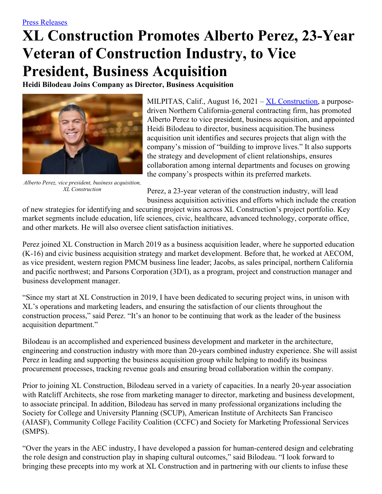## **XL Construction Promotes Alberto Perez, 23-Year Veteran of Construction Industry, to Vice President, Business Acquisition**

**Heidi Bilodeau Joins Company as Director, Business Acquisition**



*Alberto Perez, vice president, business acquisition, XL Construction*

MILPITAS, Calif., August 16, 2021 – XL [Construction](http://www.xlconstruction.com/), a purposedriven Northern California-general contracting firm, has promoted Alberto Perez to vice president, business acquisition, and appointed Heidi Bilodeau to director, business acquisition.The business acquisition unit identifies and secures projects that align with the company's mission of "building to improve lives." It also supports the strategy and development of client relationships, ensures collaboration among internal departments and focuses on growing the company's prospects within its preferred markets.

Perez, a 23-year veteran of the construction industry, will lead business acquisition activities and efforts which include the creation

of new strategies for identifying and securing project wins across XL Construction's project portfolio. Key market segments include education, life sciences, civic, healthcare, advanced technology, corporate office, and other markets. He will also oversee client satisfaction initiatives.

Perez joined XL Construction in March 2019 as a business acquisition leader, where he supported education (K-16) and civic business acquisition strategy and market development. Before that, he worked at AECOM, as vice president, western region PMCM business line leader; Jacobs, as sales principal, northern California and pacific northwest; and Parsons Corporation (3D/I), as a program, project and construction manager and business development manager.

"Since my start at XL Construction in 2019, I have been dedicated to securing project wins, in unison with XL's operations and marketing leaders, and ensuring the satisfaction of our clients throughout the construction process," said Perez. "It's an honor to be continuing that work as the leader of the business acquisition department."

Bilodeau is an accomplished and experienced business development and marketer in the architecture, engineering and construction industry with more than 20-years combined industry experience. She will assist Perez in leading and supporting the business acquisition group while helping to modify its business procurement processes, tracking revenue goals and ensuring broad collaboration within the company.

Prior to joining XL Construction, Bilodeau served in a variety of capacities. In a nearly 20-year association with Ratcliff Architects, she rose from marketing manager to director, marketing and business development, to associate principal. In addition, Bilodeau has served in many professional organizations including the Society for College and University Planning (SCUP), American Institute of Architects San Francisco (AIASF), Community College Facility Coalition (CCFC) and Society for Marketing Professional Services (SMPS).

"Over the years in the AEC industry, I have developed a passion for human-centered design and celebrating the role design and construction play in shaping cultural outcomes," said Bilodeau. "I look forward to bringing these precepts into my work at XL Construction and in partnering with our clients to infuse these